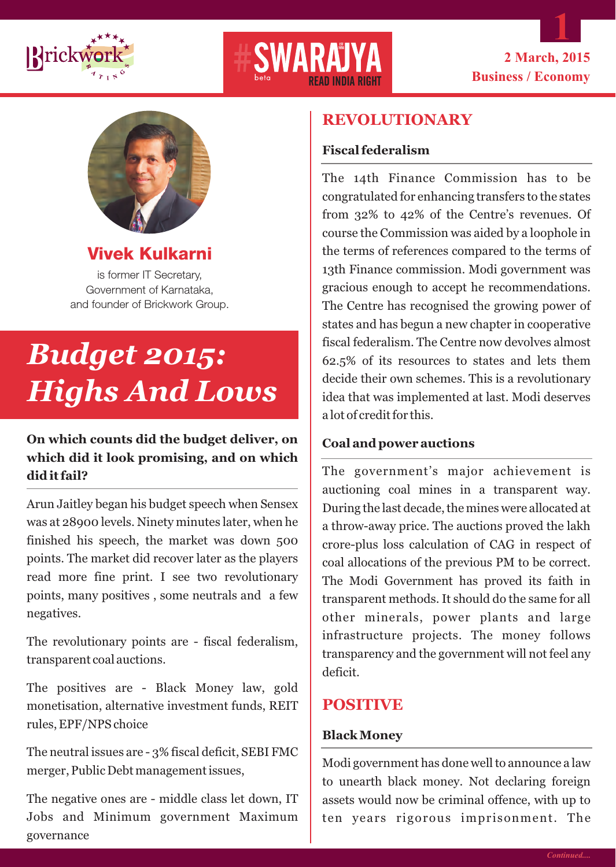





**Vivek Kulkarni** 

is former IT Secretary, Government of Karnataka, and founder of Brickwork Group.

# *Budget 2015: Highs And Lows*

### **On which counts did the budget deliver, on which did it look promising, and on which did it fail?**

Arun Jaitley began his budget speech when Sensex was at 28900 levels. Ninety minutes later, when he finished his speech, the market was down 500 points. The market did recover later as the players read more fine print. I see two revolutionary points, many positives , some neutrals and a few negatives.

The revolutionary points are - fiscal federalism, transparent coal auctions.

The positives are - Black Money law, gold monetisation, alternative investment funds, REIT rules, EPF/NPS choice

The neutral issues are - 3% fiscal deficit, SEBI FMC merger, Public Debt management issues,

The negative ones are - middle class let down, IT Jobs and Minimum government Maximum governance

## **REVOLUTIONARY**

#### **Fiscal federalism**

The 14th Finance Commission has to be congratulated for enhancing transfers to the states from 32% to 42% of the Centre's revenues. Of course the Commission was aided by a loophole in the terms of references compared to the terms of 13th Finance commission. Modi government was gracious enough to accept he recommendations. The Centre has recognised the growing power of states and has begun a new chapter in cooperative fiscal federalism. The Centre now devolves almost 62.5% of its resources to states and lets them decide their own schemes. This is a revolutionary idea that was implemented at last. Modi deserves a lot of credit for this.

#### **Coal and power auctions**

The government's major achievement is auctioning coal mines in a transparent way. During the last decade, the mines were allocated at a throw-away price. The auctions proved the lakh crore-plus loss calculation of CAG in respect of coal allocations of the previous PM to be correct. The Modi Government has proved its faith in transparent methods. It should do the same for all other minerals, power plants and large infrastructure projects. The money follows transparency and the government will not feel any deficit.

### **POSITIVE**

#### **Black Money**

Modi government has done well to announce a law to unearth black money. Not declaring foreign assets would now be criminal offence, with up to ten years rigorous imprisonment. The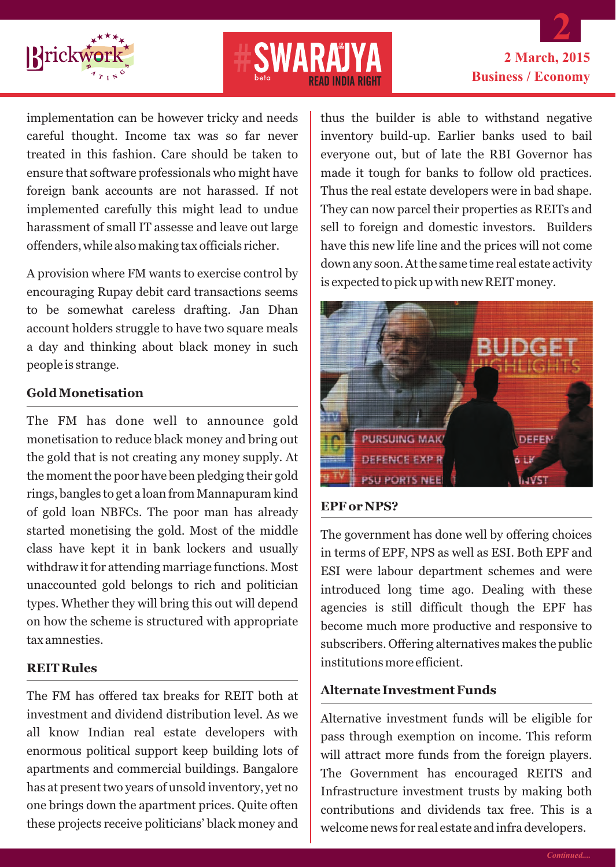



# **2 March, 2015 Business / Economy 2**

implementation can be however tricky and needs careful thought. Income tax was so far never treated in this fashion. Care should be taken to ensure that software professionals who might have foreign bank accounts are not harassed. If not implemented carefully this might lead to undue harassment of small IT assesse and leave out large offenders, while also making tax officials richer.

A provision where FM wants to exercise control by encouraging Rupay debit card transactions seems to be somewhat careless drafting. Jan Dhan account holders struggle to have two square meals a day and thinking about black money in such people is strange.

#### **Gold Monetisation**

The FM has done well to announce gold monetisation to reduce black money and bring out the gold that is not creating any money supply. At the moment the poor have been pledging their gold rings, bangles to get a loan from Mannapuram kind of gold loan NBFCs. The poor man has already started monetising the gold. Most of the middle class have kept it in bank lockers and usually withdraw it for attending marriage functions. Most unaccounted gold belongs to rich and politician types. Whether they will bring this out will depend on how the scheme is structured with appropriate tax amnesties.

#### **REIT Rules**

The FM has offered tax breaks for REIT both at investment and dividend distribution level. As we all know Indian real estate developers with enormous political support keep building lots of apartments and commercial buildings. Bangalore has at present two years of unsold inventory, yet no one brings down the apartment prices. Quite often these projects receive politicians' black money and thus the builder is able to withstand negative inventory build-up. Earlier banks used to bail everyone out, but of late the RBI Governor has made it tough for banks to follow old practices. Thus the real estate developers were in bad shape. They can now parcel their properties as REITs and sell to foreign and domestic investors. Builders have this new life line and the prices will not come down any soon. At the same time real estate activity is expected to pick up with new REIT money.



#### **EPF or NPS?**

The government has done well by offering choices in terms of EPF, NPS as well as ESI. Both EPF and ESI were labour department schemes and were introduced long time ago. Dealing with these agencies is still difficult though the EPF has become much more productive and responsive to subscribers. Offering alternatives makes the public institutions more efficient.

#### **Alternate Investment Funds**

Alternative investment funds will be eligible for pass through exemption on income. This reform will attract more funds from the foreign players. The Government has encouraged REITS and Infrastructure investment trusts by making both contributions and dividends tax free. This is a welcome news for real estate and infra developers.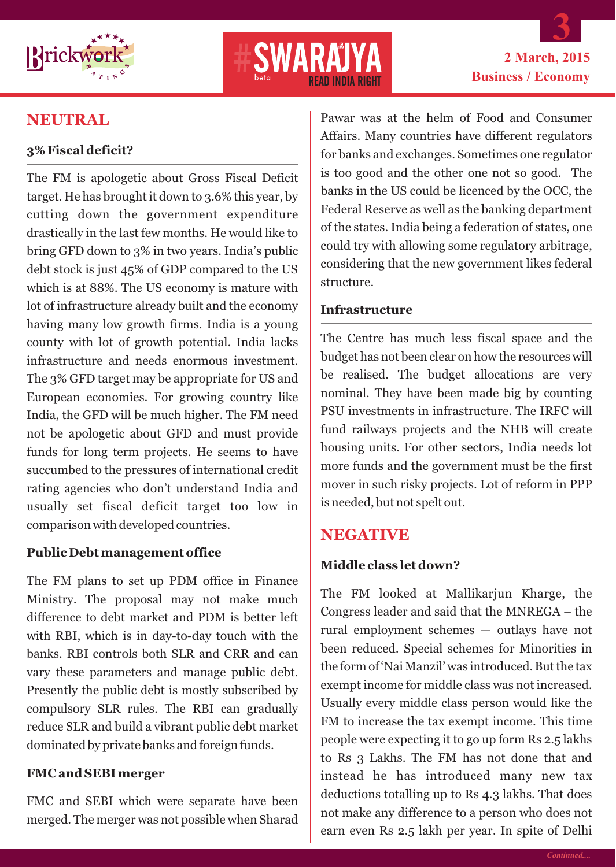



# **NEUTRAL**

#### **3% Fiscal deficit?**

The FM is apologetic about Gross Fiscal Deficit target. He has brought it down to 3.6% this year, by cutting down the government expenditure drastically in the last few months. He would like to bring GFD down to 3% in two years. India's public debt stock is just 45% of GDP compared to the US which is at 88%. The US economy is mature with lot of infrastructure already built and the economy having many low growth firms. India is a young county with lot of growth potential. India lacks infrastructure and needs enormous investment. The 3% GFD target may be appropriate for US and European economies. For growing country like India, the GFD will be much higher. The FM need not be apologetic about GFD and must provide funds for long term projects. He seems to have succumbed to the pressures of international credit rating agencies who don't understand India and usually set fiscal deficit target too low in comparison with developed countries.

#### **Public Debt management office**

The FM plans to set up PDM office in Finance Ministry. The proposal may not make much difference to debt market and PDM is better left with RBI, which is in day-to-day touch with the banks. RBI controls both SLR and CRR and can vary these parameters and manage public debt. Presently the public debt is mostly subscribed by compulsory SLR rules. The RBI can gradually reduce SLR and build a vibrant public debt market dominated by private banks and foreign funds.

#### **FMC and SEBI merger**

FMC and SEBI which were separate have been merged. The merger was not possible when Sharad Pawar was at the helm of Food and Consumer Affairs. Many countries have different regulators for banks and exchanges. Sometimes one regulator is too good and the other one not so good. The banks in the US could be licenced by the OCC, the Federal Reserve as well as the banking department of the states. India being a federation of states, one could try with allowing some regulatory arbitrage, considering that the new government likes federal structure.

#### **Infrastructure**

The Centre has much less fiscal space and the budget has not been clear on how the resources will be realised. The budget allocations are very nominal. They have been made big by counting PSU investments in infrastructure. The IRFC will fund railways projects and the NHB will create housing units. For other sectors, India needs lot more funds and the government must be the first mover in such risky projects. Lot of reform in PPP is needed, but not spelt out.

#### **NEGATIVE**

#### **Middle class let down?**

The FM looked at Mallikarjun Kharge, the Congress leader and said that the MNREGA – the rural employment schemes — outlays have not been reduced. Special schemes for Minorities in the form of 'Nai Manzil' was introduced. But the tax exempt income for middle class was not increased. Usually every middle class person would like the FM to increase the tax exempt income. This time people were expecting it to go up form Rs 2.5 lakhs to Rs 3 Lakhs. The FM has not done that and instead he has introduced many new tax deductions totalling up to Rs 4.3 lakhs. That does not make any difference to a person who does not earn even Rs 2.5 lakh per year. In spite of Delhi